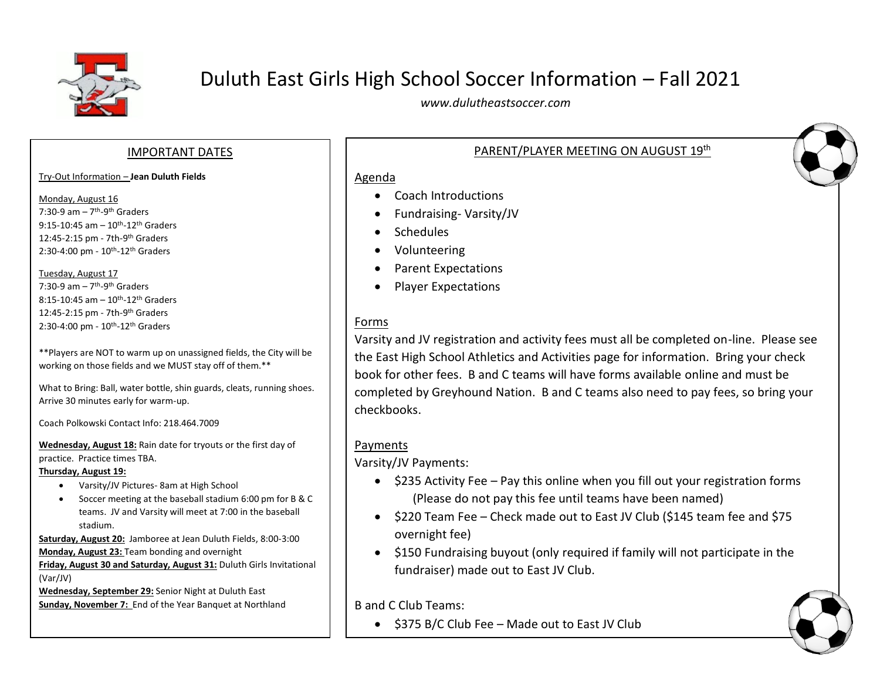

# Duluth East Girls High School Soccer Information – Fall 2021

*www.dulutheastsoccer.com*

#### IMPORTANT DATES

#### Try-Out Information – **Jean Duluth Fields**

Monday, August 16 7:30-9 am – 7<sup>th</sup>-9<sup>th</sup> Graders 9:15-10:45 am - 10<sup>th</sup>-12<sup>th</sup> Graders 12:45-2:15 pm - 7th-9 th Graders 2:30-4:00 pm - 10<sup>th</sup>-12<sup>th</sup> Graders

Tuesday, August 17 7:30-9 am – 7<sup>th</sup>-9<sup>th</sup> Graders 8:15-10:45 am – 10<sup>th</sup>-12<sup>th</sup> Graders 12:45-2:15 pm - 7th-9<sup>th</sup> Graders 2:30-4:00 pm - 10<sup>th</sup>-12<sup>th</sup> Graders

\*\*Players are NOT to warm up on unassigned fields, the City will be working on those fields and we MUST stay off of them.\*\*

What to Bring: Ball, water bottle, shin guards, cleats, running shoes. Arrive 30 minutes early for warm-up.

Coach Polkowski Contact Info: 218.464.7009

**Wednesday, August 18:** Rain date for tryouts or the first day of practice. Practice times TBA.

#### **Thursday, August 19:**

- Varsity/JV Pictures- 8am at High School
- Soccer meeting at the baseball stadium 6:00 pm for B & C teams. JV and Varsity will meet at 7:00 in the baseball stadium.

**Saturday, August 20:** Jamboree at Jean Duluth Fields, 8:00-3:00 **Monday, August 23:** Team bonding and overnight

**Friday, August 30 and Saturday, August 31:** Duluth Girls Invitational (Var/JV)

**Wednesday, September 29:** Senior Night at Duluth East **Sunday, November 7:** End of the Year Banquet at Northland

## PARENT/PLAYER MEETING ON AUGUST 19th

#### Agenda

- Coach Introductions
- Fundraising- Varsity/JV
- Schedules
- Volunteering
- Parent Expectations
- Player Expectations

## Forms

Varsity and JV registration and activity fees must all be completed on-line. Please see the East High School Athletics and Activities page for information. Bring your check book for other fees. B and C teams will have forms available online and must be completed by Greyhound Nation. B and C teams also need to pay fees, so bring your checkbooks.

#### Payments

Varsity/JV Payments:

- \$235 Activity Fee Pay this online when you fill out your registration forms (Please do not pay this fee until teams have been named)
- \$220 Team Fee Check made out to East JV Club (\$145 team fee and \$75 overnight fee)
- \$150 Fundraising buyout (only required if family will not participate in the fundraiser) made out to East JV Club.

B and C Club Teams:

• \$375 B/C Club Fee – Made out to East JV Club